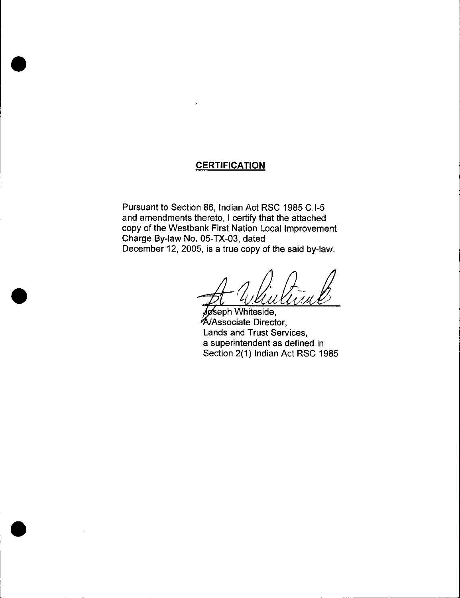## **CERTIFICATION**

Pursuant to Section 86, Indian Act RSC 1985 C.I-5 and amendments thereto, I certify that the attached copy of the Westbank First Nation Local Improvement Charge By-law No. 05-TX-03, dated December 12, 2005, is a true copy of the said by-law.

 $1/1$ 

seph Whiteside, **A/Associate Director,** Lands and Trust Services, a superintendent as defined in Section 2(1) Indian Act RSC 1985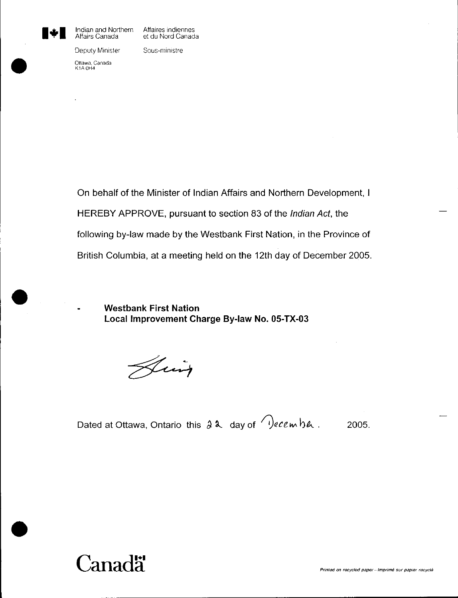

Indian and Northern Affaires indiennes<br>Affairs Canada et du Nord Canada

et du Nord Canada

Deputy Minister Sous-ministre

Ottawa, Canada K1A OH4

On behalf of the Minister of Indian Affairs and Northern Development, I HEREBY APPROVE, pursuant to section 83 of the Indian Act, the following by -law made by the Westbank First Nation, in the Province of British Columbia, at a meeting held on the 12th day of December 2005.

Westbank First Nation Local Improvement Charge By-law No. 05-TX-03

Him

Dated at Ottawa, Ontario this  $2 \lambda$  day of  $\sqrt{2}$ ecembe. 2005.

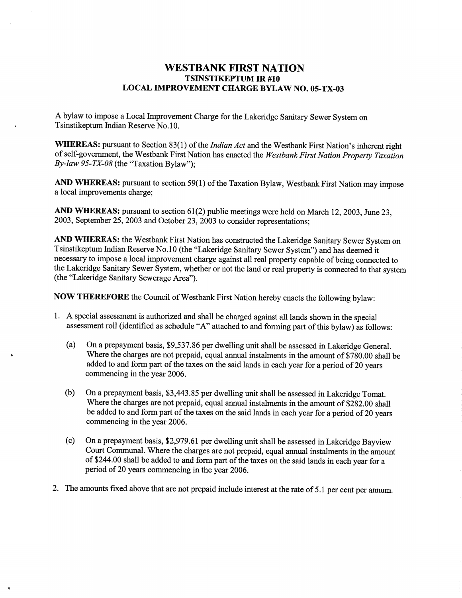### WESTBANK FIRST NATION TSINSTIKEPTUM IR #10 LOCAL IMPROVEMENT CHARGE BYLAW NO. 05-TX-03

A bylaw to impose <sup>a</sup> Local Improvement Charge for the Lakeridge Sanitary Sewer System on Tsinstikeptum Indian Reserve No. 10.

WHEREAS: pursuant to Section 83(1) of the *Indian Act* and the Westbank First Nation's inherent right of self-government, the Westbank First Nation has enacted the *Westbank First Nation Property Taxation* of self-government, the Westbank First Na<br>By-law 95-TX-08 (the "Taxation Bylaw");

AND WHEREAS: pursuant to section 59(1) of the Taxation Bylaw, Westbank First Nation may impose a local improvements charge;

AND WHEREAS: pursuant to section 61(2) public meetings were held on March 12, 2003, June 23, 2003, September 25, 2003 and October 23, 2003 to consider representations;

AND WHEREAS: the Westbank First Nation has constructed the Lakeridge Sanitary Sewer System on Tsinstikeptum Indian Reserve No. 10 (the "Lakeridge Sanitary Sewer System ") and has deemed it necessary to impose <sup>a</sup> local improvement charge against all real property capable of being connected to the Lakeridge Sanitary Sewer System, whether or not the land or real property is connected to that system (the "Lakeridge Sanitary Sewerage Area").

Now THEREFORE the Council of Westbank First Nation hereby enacts the following bylaw:

- 1. A special assessment is authorized and shall be charged against all lands shown in the special assessment roll (identified as schedule "A" attached to and forming part of this bylaw) as follows:
	- (a) On a prepayment basis, \$9,537.86 per dwelling unit shall be assessed in Lakeridge General. Where the charges are not prepaid, equal annual instalments in the amount of \$780.00 shall be added to and form part of the taxes on the said lands in each year for <sup>a</sup> period of <sup>20</sup> years commencing in the year 2006.
	- (b) On a prepayment basis, \$3,443.85 per dwelling unit shall be assessed in Lakeridge Tomat. Where the charges are not prepaid, equal annual instalments in the amount of \$282.00 shall be added to and form part of the taxes on the said lands in each year for a period of 20 years commencing in the year 2006.
	- (c) On a prepayment basis, \$2,979.61 per dwelling unit shall be assessed in Lakeridge Bayview Court Communal. where the charges are not prepaid, equal annual instalments in the amount of \$244.00 shall be added to and form part of the taxes on the said lands in each year for a period of 20 years commencing in the year 2006.
- 2. The amounts fixed above that are not prepaid include interest at the rate of 5.1 per cent per annum.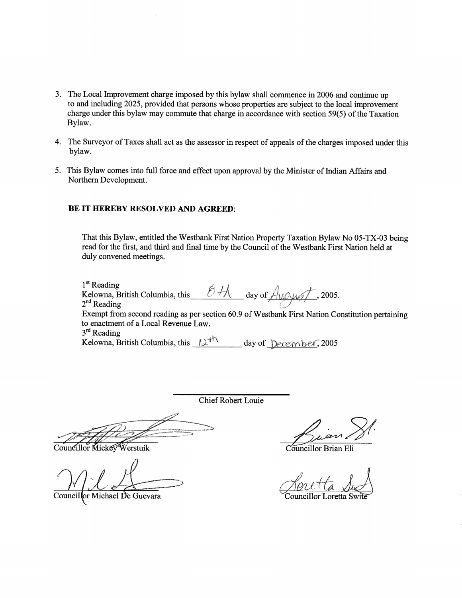- 3. The Local Improvement charge imposed by this bylaw shall commence in 2006 and continue up to and including 2025, provided that persons whose properties are subject to the local improvement charge under this bylaw may commute that charge in accordance with section 59(5) of the Taxation Bylaw.
- 4. The Surveyor of Taxes shall act as the assessor in respect of appeals of the charges imposed under this bylaw.
- 5. This Bylaw comes into full force and effect upon approval by the Minister of Indian Affairs and Northern Development.

### BE IT HEREBY RESOLVED AND AGREED:

That this Bylaw, entitled the Westbank First Nation Property Taxation Bylaw No 05-TX-03 being read for the first, and third and final time by the Council of the Westbank First Nation held at duly convened meetings.

 $1<sup>st</sup>$  Reading I" Reading<br>Kelowna, British Columbia, this  $\mathcal{O} \nrightarrow \mathcal{H}$  day of  $\mathcal{A}_{\mathcal{M} \mathcal{A} \mathcal{M}}$  2005.  $2<sup>nd</sup>$  Reading Exempt from second reading as per section 60.9 of Westbank First Nation Constitution pertaining to enactment of a Local Revenue Law.  $3<sup>rd</sup>$  Reading Kelowna, British Columbia, this  $12^{th}$  day of December, 2005

Chief Robert Louie

Councillor Mickey Werstuik

Councillor Michael De Guevara

Councillor Brian Eli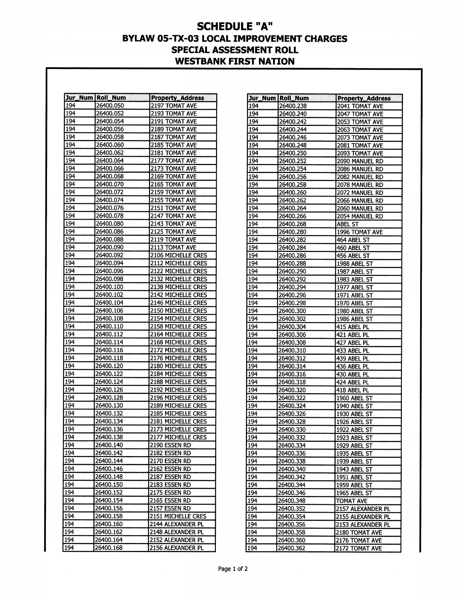# SCHEDULE "A" BYLAW 05-TX-03 LOCAL IMPROVEMENT CHARGES SPECIAL ASSESSMENT ROLL WESTBANK FIRST NATION

|            | Jur_Num   Roll_Num | <b>Property_Address</b>                |
|------------|--------------------|----------------------------------------|
| 194        | 26400.050          | 2197 TOMAT AVE                         |
| 194        | 26400.052          | 2193 TOMAT AVE                         |
| 194        | 26400.054          | 2191 TOMAT AVE                         |
| 194        | 26400.056          | 2189 TOMAT AVE                         |
| 194        | 26400.058          | 2187 TOMAT AVE                         |
| 194        | 26400.060          | 2185 TOMAT AVE                         |
| 194        | 26400.062          | 2181 TOMAT AVE                         |
| 194        | 26400.064          | 2177 TOMAT AVE                         |
| 194        | 26400.066          | 2173 TOMAT AVE                         |
| 194        | 26400.068          | 2169 TOMAT AVE                         |
| 194        | 26400.070          | 2165 TOMAT AVE                         |
| 194        | 26400.072          | 2159 TOMAT AVE                         |
| 194        | 26400.074          | 2155 TOMAT AVE                         |
| 194        | 26400.076          | 2151 TOMAT AVE                         |
| 194        | 26400.078          | 2147 TOMAT AVE                         |
| 194        | 26400.080          | 2143 TOMAT AVE                         |
| 194        | 26400.086          | 2125 TOMAT AVE                         |
| 194        | 26400.088          | 2119 TOMAT AVE                         |
| 194        | 26400.090          | 2113 TOMAT AVE                         |
| 194        | 26400.092          | 2106 MICHELLE CRES                     |
| 194        | 26400.094          | 2112 MICHELLE CRES                     |
| 194        | 26400.096          | <b>2122 MICHELLE CRES</b>              |
| 194        | 26400.098          | 2132 MICHELLE CRES                     |
| 194        | 26400.100          | 2138 MICHELLE CRES                     |
| 194        | 26400.102          | <b>2142 MICHELLE CRES</b>              |
| 194        | 26400.104          | 2146 MICHELLE CRES                     |
| 194        | 26400.106          | 2150 MICHELLE CRES                     |
| 194        | 26400.108          | 2154 MICHELLE CRES                     |
| 194        | 26400.110          | 2158 MICHELLE CRES                     |
| 194        | 26400.112          | <b>2164 MICHELLE CRES</b>              |
| 194        | 26400.114          | <b>2168 MICHELLE CRES</b>              |
| 194        | 26400.116          | 2172 MICHELLE CRES                     |
| 194        | 26400.118          | 2176 MICHELLE CRES                     |
| 194        | 26400.120          | 2180 MICHELLE CRES                     |
| 194        | 26400.122          | 2184 MICHELLE CRES                     |
| 194        | 26400.124          | 2188 MICHELLE CRES                     |
| 194        | 26400.126          | 2192 MICHELLE CRES                     |
| 194        | 26400.128          | <b>2196 MICHELLE CRES</b>              |
| 194        | 26400.130          | 2189 MICHELLE CRES                     |
| 194        | 26400.132          | 2185 MICHELLE CRES                     |
| 194        | 26400.134          | 2181 MICHELLE CRES                     |
| 194        | 26400.136          | 2173 MICHELLE CRES                     |
| 194        | 26400.138          | 2177 MICHELLE CRES                     |
| 194        | 26400.140          | 2190 ESSEN RD                          |
| 194        | 26400.142          | 2182 ESSEN RD                          |
| 194        | 26400.144          | 2170 ESSEN RD                          |
| 194        | 26400.146          | 2162 ESSEN RD                          |
| 194        | 26400.148          | 2187 ESSEN RD                          |
| 194        | 26400.150          | 2183 ESSEN RD                          |
| 194        | 26400.152          | <b>2175 ESSEN RD</b>                   |
| 194        | 26400.154          | 2165 ESSEN RD                          |
| 194        | 26400.156          | 2157 ESSEN RD                          |
| 194        | 26400.158          | 2151 MICHELLE CRES                     |
| 194        | 26400.160          | 2144 ALEXANDER PL                      |
| 194<br>194 | 26400.162          | 2148 ALEXANDER PL<br>2152 ALEXANDER PL |
|            | 26400.164          |                                        |
| 194        | 26400.168          | 2156 ALEXANDER PL                      |

|            | Jur_Num  Roll_Num | <b>Property_Address</b> |
|------------|-------------------|-------------------------|
| 194        | 26400.238         | 2041 TOMAT AVE          |
| 194        | 26400.240         | 2047 TOMAT AVE          |
| 194        | 26400.242         | 2053 TOMAT AVE          |
| 194        | 26400.244         | 2063 TOMAT AVE          |
| 194        | 26400.246         | 2073 TOMAT AVE          |
| 194        | 26400.248         | 2081 TOMAT AVE          |
| 194        | 26400.250         | 2093 TOMAT AVE          |
| 194        | 26400.252         | 2090 MANUEL RD          |
| 194        | 26400.254         | 2086 MANUEL RD          |
| 194        | 26400.256         | 2082 MANUEL RD          |
| 194        | 26400.258         | 2078 MANUEL RD          |
| 194        | 26400.260         | 2072 MANUEL RD          |
| 194        | 26400.262         | 2066 MANUEL RD          |
| 194        | 26400.264         | 2060 MANUEL RD          |
| 194        | 26400.266         | 2054 MANUEL RD          |
| 194        | 26400.268         | <b>ABEL ST</b>          |
| 194        | 26400.280         | 1996 TOMAT AVE          |
| 194        | 26400.282         | 464 ABEL ST             |
| 194        | 26400.284         | 460 ABEL ST             |
| 194        | 26400.286         | 456 ABEL ST             |
| 194        | 26400.288         | 1988 ABEL ST            |
| 194        | 26400.290         | 1987 ABEL ST            |
| 194        | 26400.292         | 1983 ABEL ST            |
| 194        | 26400.294         | 1977 ABEL ST            |
| 194        | 26400.296         | <b>1971 ABEL ST</b>     |
| 194        | 26400.298         | 1970 ABEL ST            |
| 194        | 26400.300         | 1980 ABEL ST            |
| 194        | 26400.302         | <b>1986 ABEL ST</b>     |
| 194        | 26400.304         | 415 ABEL PL             |
| 194        | 26400.306         | 421 ABEL PL             |
| 194        | 26400.308         | 427 ABEL PL             |
| 194        | 26400.310         | 433 ABEL PL             |
| 194        | 26400.312         | 439 ABEL PL             |
| 194        | 26400.314         | 436 ABEL PL             |
| 194        | 26400.316         | 430 ABEL PL             |
| 194        | 26400.318         | 424 ABEL PL             |
| 194        | 26400.320         | 418 ABEL PL             |
| 194        | 26400.322         | <b>1960 ABEL ST</b>     |
| 194        | 26400.324         | 1940 ABEL ST            |
| 194        | 26400.326         | 1930 ABEL ST            |
| 194        | 26400.328         | 1926 ABEL ST            |
| <u>194</u> | 26400.330         | <u>1922 ABEL ST</u>     |
| 194        | 26400.332         | 1923 ABEL ST            |
| 194        | 26400.334         | 1929 ABEL ST            |
| 194        | 26400.336         | 1935 ABEL ST            |
| 194        | 26400.338         | 1939 ABEL ST            |
| 194        | 26400.340         | 1943 ABEL ST            |
| 194        | 26400.342         | 1951 ABEL ST            |
| 194        | 26400.344         | 1959 ABEL ST            |
| 194        | 26400.346         | 1965 ABEL ST            |
| 194        | 26400.348         | <b>TOMAT AVE</b>        |
| 194        | 26400.352         | 2157 ALEXANDER PL       |
|            |                   |                         |
| 194<br>194 | 26400.354         | 2155 ALEXANDER PL       |
|            | 26400.356         | 2153 ALEXANDER PL       |
| 194        | 26400.358         | 2180 TOMAT AVE          |
| 194        | 26400.360         | 2176 TOMAT AVE          |
| 194        | 26400.362         | 2172 TOMAT AVE          |